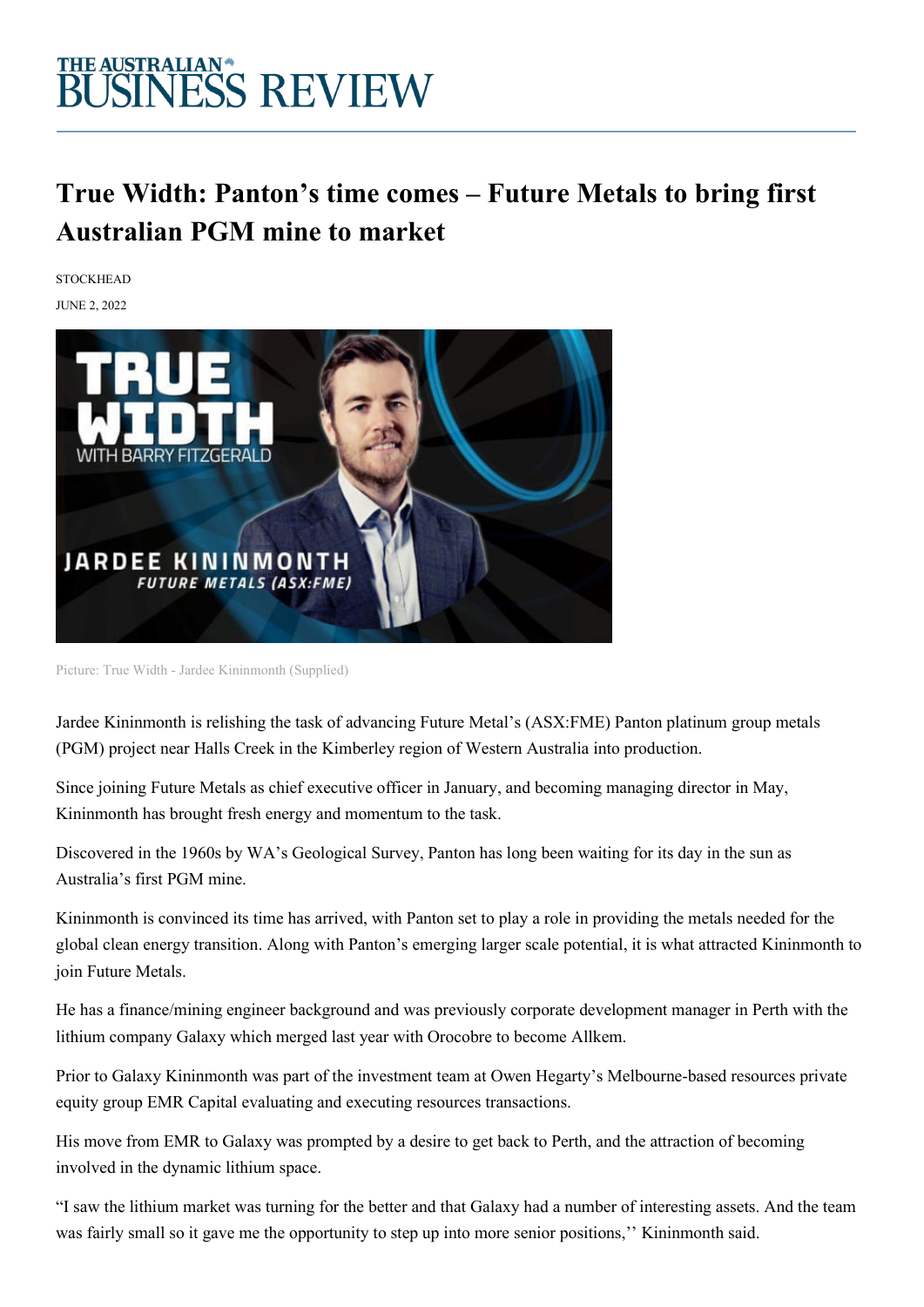### THE AUSTRALIAN\*<br>BUSINESS REVIEW

### **True Width: Panton's time comes – Future Metals to bring first Australian PGM mine to market**

**STOCKHEAD** 

JUNE 2, 2022



Picture: True Width - Jardee Kininmonth (Supplied)

Jardee Kininmonth is relishing the task of advancing Future Metal's (ASX:FME) Panton platinum group metals (PGM) project near Halls Creek in the Kimberley region of Western Australia into production.

Since joining Future Metals as chief executive officer in January, and becoming managing director in May, Kininmonth has brought fresh energy and momentum to the task.

Discovered in the 1960s by WA's Geological Survey, Panton has long been waiting for its day in the sun as Australia's first PGM mine.

Kininmonth is convinced its time has arrived, with Panton set to play a role in providing the metals needed for the global clean energy transition. Along with Panton's emerging larger scale potential, it is what attracted Kininmonth to join Future Metals.

He has a finance/mining engineer background and was previously corporate development manager in Perth with the lithium company Galaxy which merged last year with Orocobre to become Allkem.

Prior to Galaxy Kininmonth was part of the investment team at Owen Hegarty's Melbourne-based resources private equity group EMR Capital evaluating and executing resources transactions.

His move from EMR to Galaxy was prompted by a desire to get back to Perth, and the attraction of becoming involved in the dynamic lithium space.

"I saw the lithium market was turning for the better and that Galaxy had a number of interesting assets. And the team was fairly small so it gave me the opportunity to step up into more senior positions,'' Kininmonth said.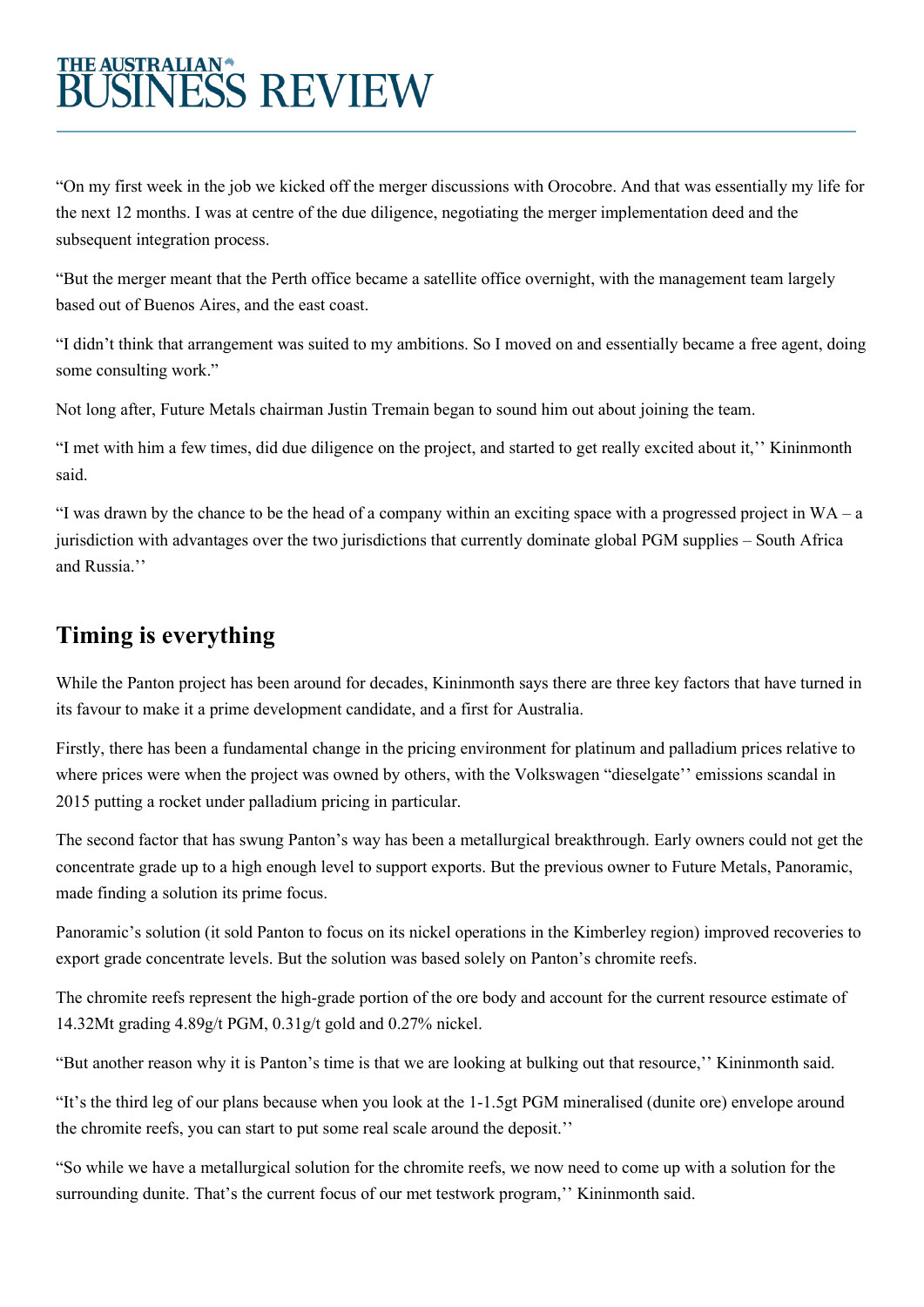# THE AUSTRALIAN\*<br>BUSINESS REVIEW

"On my first week in the job we kicked off the merger discussions with Orocobre. And that was essentially my life for the next 12 months. I was at centre of the due diligence, negotiating the merger implementation deed and the subsequent integration process.

"But the merger meant that the Perth office became a satellite office overnight, with the management team largely based out of Buenos Aires, and the east coast.

"I didn't think that arrangement was suited to my ambitions. So I moved on and essentially became a free agent, doing some consulting work."

Not long after, Future Metals chairman Justin Tremain began to sound him out about joining the team.

"I met with him a few times, did due diligence on the project, and started to get really excited about it,'' Kininmonth said.

"I was drawn by the chance to be the head of a company within an exciting space with a progressed project in  $WA - a$ jurisdiction with advantages over the two jurisdictions that currently dominate global PGM supplies – South Africa and Russia.''

#### **Timing is everything**

While the Panton project has been around for decades, Kininmonth says there are three key factors that have turned in its favour to make it a prime development candidate, and a first for Australia.

Firstly, there has been a fundamental change in the pricing environment for platinum and palladium prices relative to where prices were when the project was owned by others, with the Volkswagen "dieselgate'' emissions scandal in 2015 putting a rocket under palladium pricing in particular.

The second factor that has swung Panton's way has been a metallurgical breakthrough. Early owners could not get the concentrate grade up to a high enough level to support exports. But the previous owner to Future Metals, Panoramic, made finding a solution its prime focus.

Panoramic's solution (it sold Panton to focus on its nickel operations in the Kimberley region) improved recoveries to export grade concentrate levels. But the solution was based solely on Panton's chromite reefs.

The chromite reefs represent the high-grade portion of the ore body and account for the current resource estimate of 14.32Mt grading 4.89g/t PGM, 0.31g/t gold and 0.27% nickel.

"But another reason why it is Panton's time is that we are looking at bulking out that resource,'' Kininmonth said.

"It's the third leg of our plans because when you look at the 1-1.5gt PGM mineralised (dunite ore) envelope around the chromite reefs, you can start to put some real scale around the deposit.''

"So while we have a metallurgical solution for the chromite reefs, we now need to come up with a solution for the surrounding dunite. That's the current focus of our met testwork program,'' Kininmonth said.